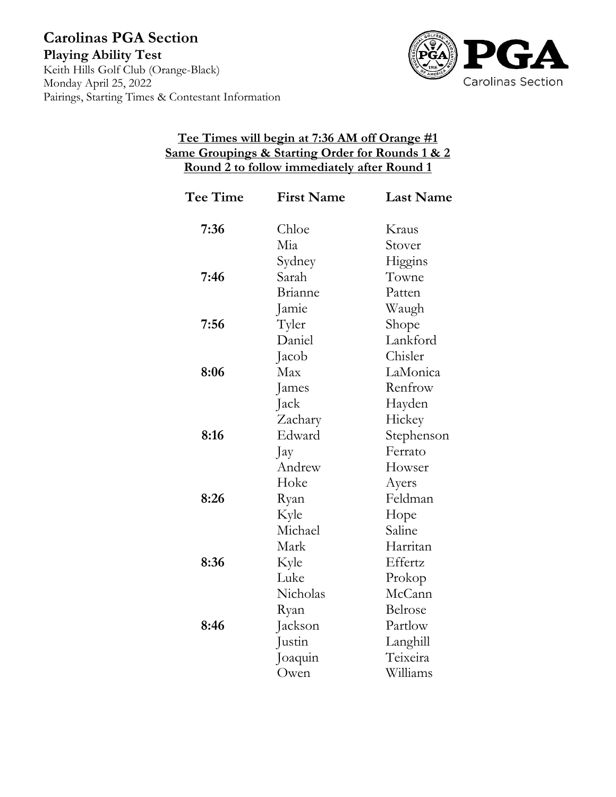

## **Tee Times will begin at 7:36 AM off Orange #1 Same Groupings & Starting Order for Rounds 1 & 2 Round 2 to follow immediately after Round 1**

| Tee Time | <b>First Name</b> | <b>Last Name</b> |
|----------|-------------------|------------------|
| 7:36     | Chloe             | Kraus            |
|          | Mia               | Stover           |
|          | Sydney            | Higgins          |
| 7:46     | Sarah             | Towne            |
|          | Brianne           | Patten           |
|          | Jamie             | Waugh            |
| 7:56     | Tyler             | Shope            |
|          | Daniel            | Lankford         |
|          | Jacob             | Chisler          |
| 8:06     | Max               | LaMonica         |
|          | James             | Renfrow          |
|          | Jack              | Hayden           |
|          | Zachary           | Hickey           |
| 8:16     | Edward            | Stephenson       |
|          | Jay               | Ferrato          |
|          | Andrew            | Howser           |
|          | Hoke              | Ayers            |
| 8:26     | Ryan              | Feldman          |
|          | Kyle              | Hope             |
|          | Michael           | Saline           |
|          | Mark              | Harritan         |
| 8:36     | Kyle              | Effertz          |
|          | Luke              | Prokop           |
|          | Nicholas          | McCann           |
|          | Ryan              | Belrose          |
| 8:46     | Jackson           | Partlow          |
|          | Justin            | Langhill         |
|          | Joaquin           | Teixeira         |
|          | Owen              | Williams         |